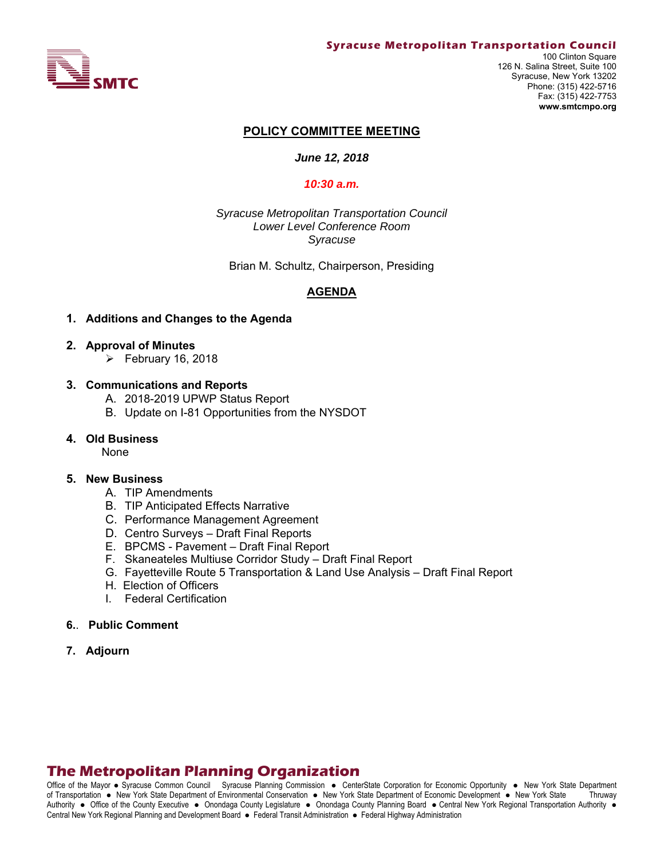

#### **Syracuse Metropolitan Transportation Council**

100 Clinton Square 126 N. Salina Street, Suite 100 Syracuse, New York 13202 Phone: (315) 422-5716 Fax: (315) 422-7753 **www.smtcmpo.org**

#### **POLICY COMMITTEE MEETING**

#### *June 12, 2018*

#### *10:30 a.m.*

*Syracuse Metropolitan Transportation Council Lower Level Conference Room Syracuse* 

Brian M. Schultz, Chairperson, Presiding

#### **AGENDA**

#### **1. Additions and Changes to the Agenda**

- **2. Approval of Minutes** 
	- $\triangleright$  February 16, 2018

#### **3. Communications and Reports**

- A. 2018-2019 UPWP Status Report
- B. Update on I-81 Opportunities from the NYSDOT

#### **4. Old Business**

None

#### **5. New Business**

- A. TIP Amendments
- B. TIP Anticipated Effects Narrative
- C. Performance Management Agreement
- D. Centro Surveys Draft Final Reports
- E. BPCMS Pavement Draft Final Report
- F. Skaneateles Multiuse Corridor Study Draft Final Report
- G. Fayetteville Route 5 Transportation & Land Use Analysis Draft Final Report
- H. Election of Officers
- I. Federal Certification
- **6.**. **Public Comment**
- **7. Adjourn**

# **The Metropolitan Planning Organization**

Office of the Mayor • Syracuse Common Council Syracuse Planning Commission • CenterState Corporation for Economic Opportunity • New York State Department of Transportation • New York State Department of Environmental Conservation • New York State Department of Economic Development • New York State Thruway Authority . Office of the County Executive . Onondaga County Legislature . Onondaga County Planning Board . Central New York Regional Transportation Authority . Central New York Regional Planning and Development Board · Federal Transit Administration · Federal Highway Administration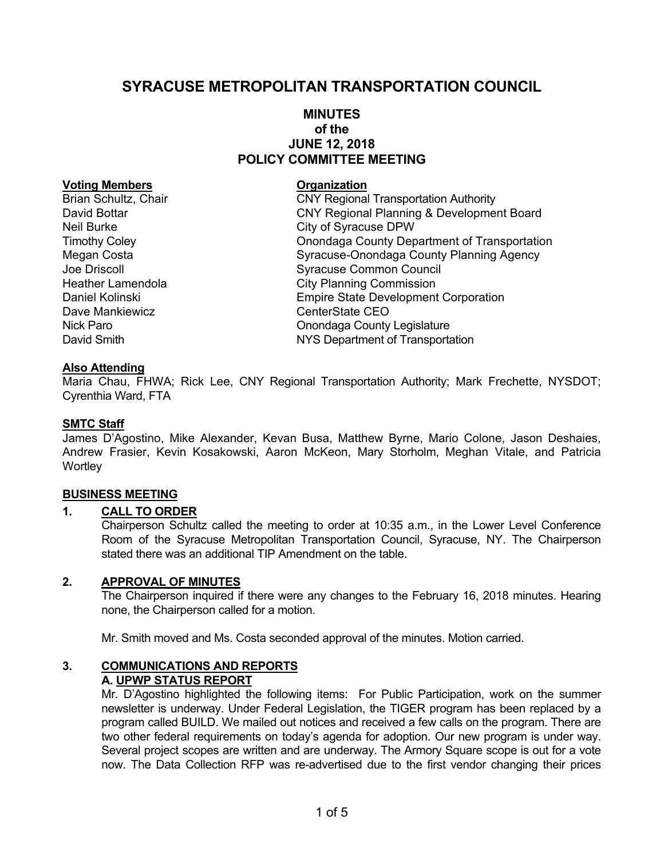# **SYRACUSE METROPOLITAN TRANSPORTATION COUNCIL**

# **MINUTES of the JUNE 12, 2018 POLICY COMMITTEE MEETING**

#### **Voting Members Construction Construction Construction**

Dave Mankiewicz **CEO** CenterState CEO

Brian Schultz, Chair **CNY Regional Transportation Authority** David Bottar CNY Regional Planning & Development Board Neil Burke **City of Syracuse DPW** Timothy Coley Onondaga County Department of Transportation Megan Costa Syracuse-Onondaga County Planning Agency Joe Driscoll Syracuse Common Council Heather Lamendola **City Planning Commission** Daniel Kolinski Empire State Development Corporation Nick Paro **Nick Paro County Legislature** Onondaga County Legislature David Smith NYS Department of Transportation

### **Also Attending**

Maria Chau, FHWA; Rick Lee, CNY Regional Transportation Authority; Mark Frechette, NYSDOT; Cyrenthia Ward, FTA

### **SMTC Staff**

James D'Agostino, Mike Alexander, Kevan Busa, Matthew Byrne, Mario Colone, Jason Deshaies, Andrew Frasier, Kevin Kosakowski, Aaron McKeon, Mary Storholm, Meghan Vitale, and Patricia **Wortley** 

#### **BUSINESS MEETING**

#### **1. CALL TO ORDER**

Chairperson Schultz called the meeting to order at 10:35 a.m., in the Lower Level Conference Room of the Syracuse Metropolitan Transportation Council, Syracuse, NY. The Chairperson stated there was an additional TIP Amendment on the table.

#### **2. APPROVAL OF MINUTES**

The Chairperson inquired if there were any changes to the February 16, 2018 minutes. Hearing none, the Chairperson called for a motion.

Mr. Smith moved and Ms. Costa seconded approval of the minutes. Motion carried.

# **3. COMMUNICATIONS AND REPORTS**

**A. UPWP STATUS REPORT** 

Mr. D'Agostino highlighted the following items: For Public Participation, work on the summer newsletter is underway. Under Federal Legislation, the TIGER program has been replaced by a program called BUILD. We mailed out notices and received a few calls on the program. There are two other federal requirements on today's agenda for adoption. Our new program is under way. Several project scopes are written and are underway. The Armory Square scope is out for a vote now. The Data Collection RFP was re-advertised due to the first vendor changing their prices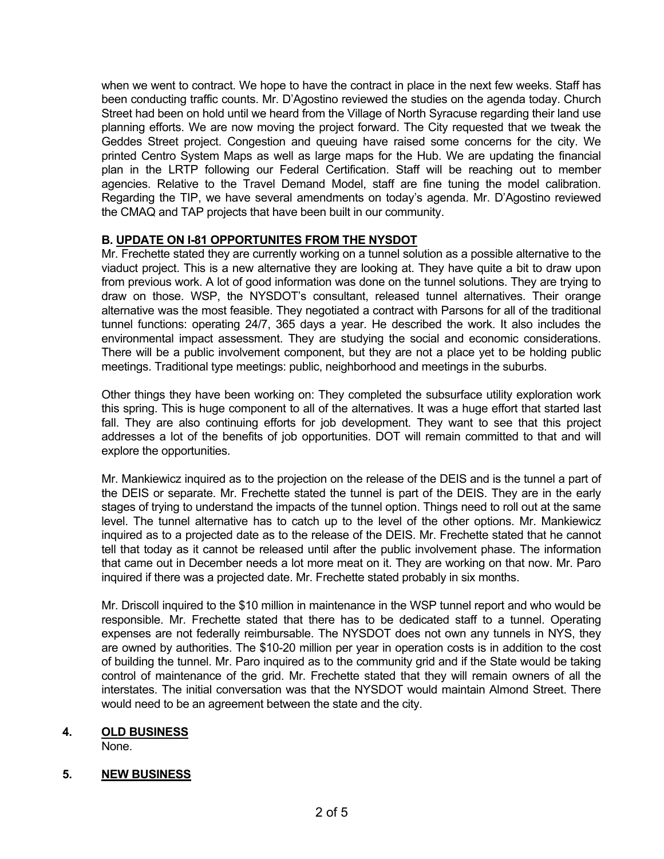when we went to contract. We hope to have the contract in place in the next few weeks. Staff has been conducting traffic counts. Mr. D'Agostino reviewed the studies on the agenda today. Church Street had been on hold until we heard from the Village of North Syracuse regarding their land use planning efforts. We are now moving the project forward. The City requested that we tweak the Geddes Street project. Congestion and queuing have raised some concerns for the city. We printed Centro System Maps as well as large maps for the Hub. We are updating the financial plan in the LRTP following our Federal Certification. Staff will be reaching out to member agencies. Relative to the Travel Demand Model, staff are fine tuning the model calibration. Regarding the TIP, we have several amendments on today's agenda. Mr. D'Agostino reviewed the CMAQ and TAP projects that have been built in our community.

# **B. UPDATE ON I-81 OPPORTUNITES FROM THE NYSDOT**

Mr. Frechette stated they are currently working on a tunnel solution as a possible alternative to the viaduct project. This is a new alternative they are looking at. They have quite a bit to draw upon from previous work. A lot of good information was done on the tunnel solutions. They are trying to draw on those. WSP, the NYSDOT's consultant, released tunnel alternatives. Their orange alternative was the most feasible. They negotiated a contract with Parsons for all of the traditional tunnel functions: operating 24/7, 365 days a year. He described the work. It also includes the environmental impact assessment. They are studying the social and economic considerations. There will be a public involvement component, but they are not a place yet to be holding public meetings. Traditional type meetings: public, neighborhood and meetings in the suburbs.

Other things they have been working on: They completed the subsurface utility exploration work this spring. This is huge component to all of the alternatives. It was a huge effort that started last fall. They are also continuing efforts for job development. They want to see that this project addresses a lot of the benefits of job opportunities. DOT will remain committed to that and will explore the opportunities.

Mr. Mankiewicz inquired as to the projection on the release of the DEIS and is the tunnel a part of the DEIS or separate. Mr. Frechette stated the tunnel is part of the DEIS. They are in the early stages of trying to understand the impacts of the tunnel option. Things need to roll out at the same level. The tunnel alternative has to catch up to the level of the other options. Mr. Mankiewicz inquired as to a projected date as to the release of the DEIS. Mr. Frechette stated that he cannot tell that today as it cannot be released until after the public involvement phase. The information that came out in December needs a lot more meat on it. They are working on that now. Mr. Paro inquired if there was a projected date. Mr. Frechette stated probably in six months.

Mr. Driscoll inquired to the \$10 million in maintenance in the WSP tunnel report and who would be responsible. Mr. Frechette stated that there has to be dedicated staff to a tunnel. Operating expenses are not federally reimbursable. The NYSDOT does not own any tunnels in NYS, they are owned by authorities. The \$10-20 million per year in operation costs is in addition to the cost of building the tunnel. Mr. Paro inquired as to the community grid and if the State would be taking control of maintenance of the grid. Mr. Frechette stated that they will remain owners of all the interstates. The initial conversation was that the NYSDOT would maintain Almond Street. There would need to be an agreement between the state and the city.

# **4. OLD BUSINESS**

None.

# **5. NEW BUSINESS**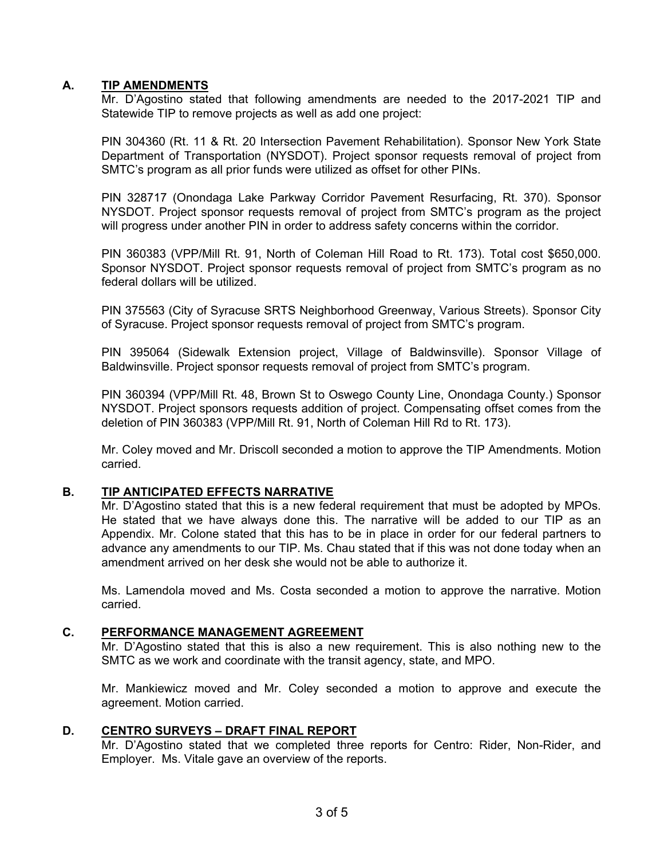# **A. TIP AMENDMENTS**

Mr. D'Agostino stated that following amendments are needed to the 2017-2021 TIP and Statewide TIP to remove projects as well as add one project:

PIN 304360 (Rt. 11 & Rt. 20 Intersection Pavement Rehabilitation). Sponsor New York State Department of Transportation (NYSDOT). Project sponsor requests removal of project from SMTC's program as all prior funds were utilized as offset for other PINs.

PIN 328717 (Onondaga Lake Parkway Corridor Pavement Resurfacing, Rt. 370). Sponsor NYSDOT. Project sponsor requests removal of project from SMTC's program as the project will progress under another PIN in order to address safety concerns within the corridor.

PIN 360383 (VPP/Mill Rt. 91, North of Coleman Hill Road to Rt. 173). Total cost \$650,000. Sponsor NYSDOT. Project sponsor requests removal of project from SMTC's program as no federal dollars will be utilized.

PIN 375563 (City of Syracuse SRTS Neighborhood Greenway, Various Streets). Sponsor City of Syracuse. Project sponsor requests removal of project from SMTC's program.

PIN 395064 (Sidewalk Extension project, Village of Baldwinsville). Sponsor Village of Baldwinsville. Project sponsor requests removal of project from SMTC's program.

PIN 360394 (VPP/Mill Rt. 48, Brown St to Oswego County Line, Onondaga County.) Sponsor NYSDOT. Project sponsors requests addition of project. Compensating offset comes from the deletion of PIN 360383 (VPP/Mill Rt. 91, North of Coleman Hill Rd to Rt. 173).

Mr. Coley moved and Mr. Driscoll seconded a motion to approve the TIP Amendments. Motion carried.

# **B. TIP ANTICIPATED EFFECTS NARRATIVE**

Mr. D'Agostino stated that this is a new federal requirement that must be adopted by MPOs. He stated that we have always done this. The narrative will be added to our TIP as an Appendix. Mr. Colone stated that this has to be in place in order for our federal partners to advance any amendments to our TIP. Ms. Chau stated that if this was not done today when an amendment arrived on her desk she would not be able to authorize it.

Ms. Lamendola moved and Ms. Costa seconded a motion to approve the narrative. Motion carried.

#### **C. PERFORMANCE MANAGEMENT AGREEMENT**

Mr. D'Agostino stated that this is also a new requirement. This is also nothing new to the SMTC as we work and coordinate with the transit agency, state, and MPO.

Mr. Mankiewicz moved and Mr. Coley seconded a motion to approve and execute the agreement. Motion carried.

### **D. CENTRO SURVEYS – DRAFT FINAL REPORT**

Mr. D'Agostino stated that we completed three reports for Centro: Rider, Non-Rider, and Employer. Ms. Vitale gave an overview of the reports.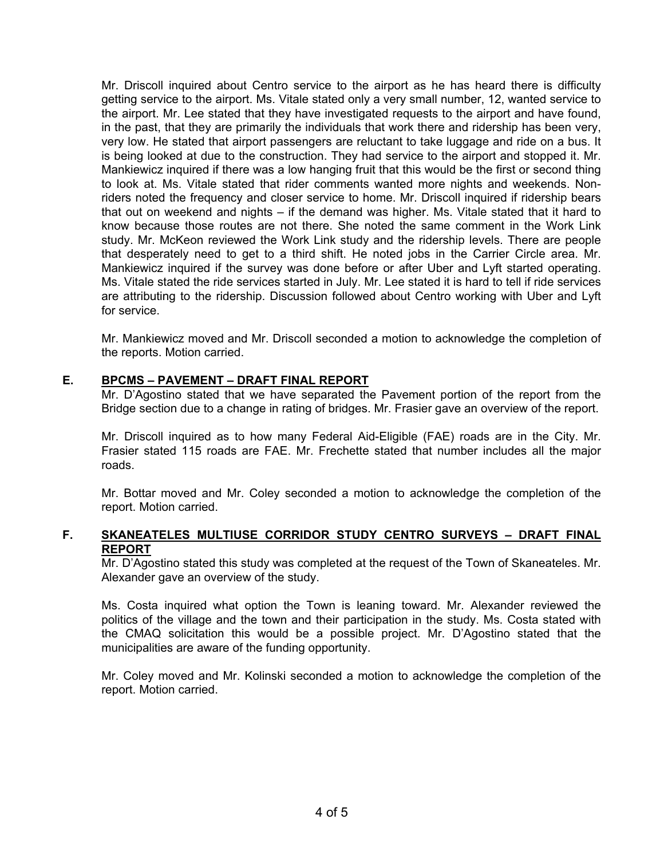Mr. Driscoll inquired about Centro service to the airport as he has heard there is difficulty getting service to the airport. Ms. Vitale stated only a very small number, 12, wanted service to the airport. Mr. Lee stated that they have investigated requests to the airport and have found, in the past, that they are primarily the individuals that work there and ridership has been very, very low. He stated that airport passengers are reluctant to take luggage and ride on a bus. It is being looked at due to the construction. They had service to the airport and stopped it. Mr. Mankiewicz inquired if there was a low hanging fruit that this would be the first or second thing to look at. Ms. Vitale stated that rider comments wanted more nights and weekends. Nonriders noted the frequency and closer service to home. Mr. Driscoll inquired if ridership bears that out on weekend and nights – if the demand was higher. Ms. Vitale stated that it hard to know because those routes are not there. She noted the same comment in the Work Link study. Mr. McKeon reviewed the Work Link study and the ridership levels. There are people that desperately need to get to a third shift. He noted jobs in the Carrier Circle area. Mr. Mankiewicz inquired if the survey was done before or after Uber and Lyft started operating. Ms. Vitale stated the ride services started in July. Mr. Lee stated it is hard to tell if ride services are attributing to the ridership. Discussion followed about Centro working with Uber and Lyft for service.

Mr. Mankiewicz moved and Mr. Driscoll seconded a motion to acknowledge the completion of the reports. Motion carried.

# **E. BPCMS – PAVEMENT – DRAFT FINAL REPORT**

Mr. D'Agostino stated that we have separated the Pavement portion of the report from the Bridge section due to a change in rating of bridges. Mr. Frasier gave an overview of the report.

Mr. Driscoll inquired as to how many Federal Aid-Eligible (FAE) roads are in the City. Mr. Frasier stated 115 roads are FAE. Mr. Frechette stated that number includes all the major roads.

Mr. Bottar moved and Mr. Coley seconded a motion to acknowledge the completion of the report. Motion carried.

### **F. SKANEATELES MULTIUSE CORRIDOR STUDY CENTRO SURVEYS – DRAFT FINAL REPORT**

Mr. D'Agostino stated this study was completed at the request of the Town of Skaneateles. Mr. Alexander gave an overview of the study.

Ms. Costa inquired what option the Town is leaning toward. Mr. Alexander reviewed the politics of the village and the town and their participation in the study. Ms. Costa stated with the CMAQ solicitation this would be a possible project. Mr. D'Agostino stated that the municipalities are aware of the funding opportunity.

Mr. Coley moved and Mr. Kolinski seconded a motion to acknowledge the completion of the report. Motion carried.